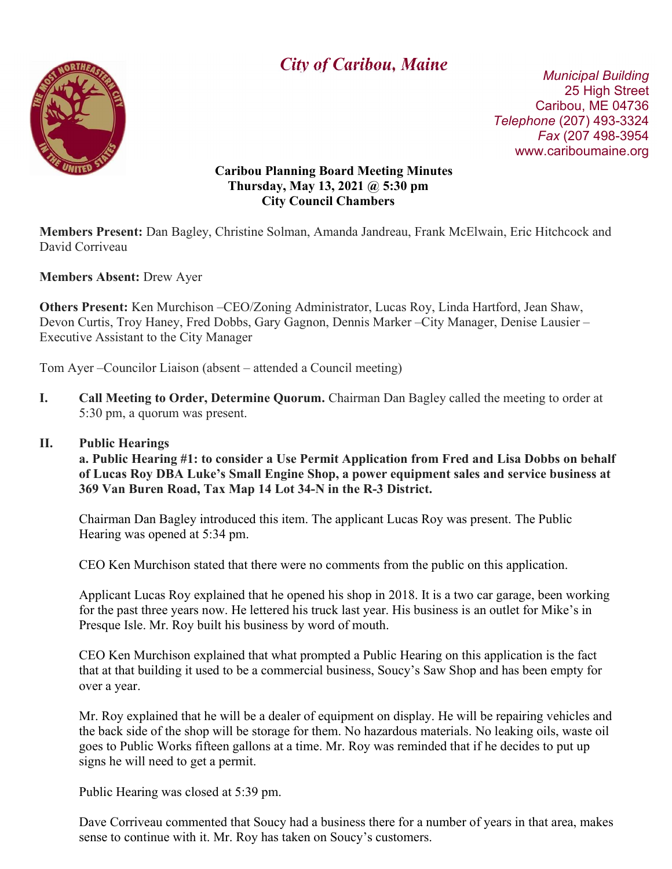

# $\overline{\phantom{a}}$ **City of Caribou, Maine** Municipal Building

 25 High Street Caribou, ME 04736 Telephone (207) 493-3324 Fax (207 498-3954 www.cariboumaine.org

#### Caribou Planning Board Meeting Minutes Thursday, May 13, 2021 @ 5:30 pm City Council Chambers

Members Present: Dan Bagley, Christine Solman, Amanda Jandreau, Frank McElwain, Eric Hitchcock and David Corriveau

Members Absent: Drew Ayer

Others Present: Ken Murchison –CEO/Zoning Administrator, Lucas Roy, Linda Hartford, Jean Shaw, Devon Curtis, Troy Haney, Fred Dobbs, Gary Gagnon, Dennis Marker –City Manager, Denise Lausier – Executive Assistant to the City Manager

Tom Ayer –Councilor Liaison (absent – attended a Council meeting)

I. Call Meeting to Order, Determine Quorum. Chairman Dan Bagley called the meeting to order at 5:30 pm, a quorum was present.

#### II. Public Hearings

a. Public Hearing #1: to consider a Use Permit Application from Fred and Lisa Dobbs on behalf of Lucas Roy DBA Luke's Small Engine Shop, a power equipment sales and service business at 369 Van Buren Road, Tax Map 14 Lot 34-N in the R-3 District.

Chairman Dan Bagley introduced this item. The applicant Lucas Roy was present. The Public Hearing was opened at 5:34 pm.

CEO Ken Murchison stated that there were no comments from the public on this application.

Applicant Lucas Roy explained that he opened his shop in 2018. It is a two car garage, been working for the past three years now. He lettered his truck last year. His business is an outlet for Mike's in Presque Isle. Mr. Roy built his business by word of mouth.

CEO Ken Murchison explained that what prompted a Public Hearing on this application is the fact that at that building it used to be a commercial business, Soucy's Saw Shop and has been empty for over a year.

Mr. Roy explained that he will be a dealer of equipment on display. He will be repairing vehicles and the back side of the shop will be storage for them. No hazardous materials. No leaking oils, waste oil goes to Public Works fifteen gallons at a time. Mr. Roy was reminded that if he decides to put up signs he will need to get a permit.

Public Hearing was closed at 5:39 pm.

Dave Corriveau commented that Soucy had a business there for a number of years in that area, makes sense to continue with it. Mr. Roy has taken on Soucy's customers.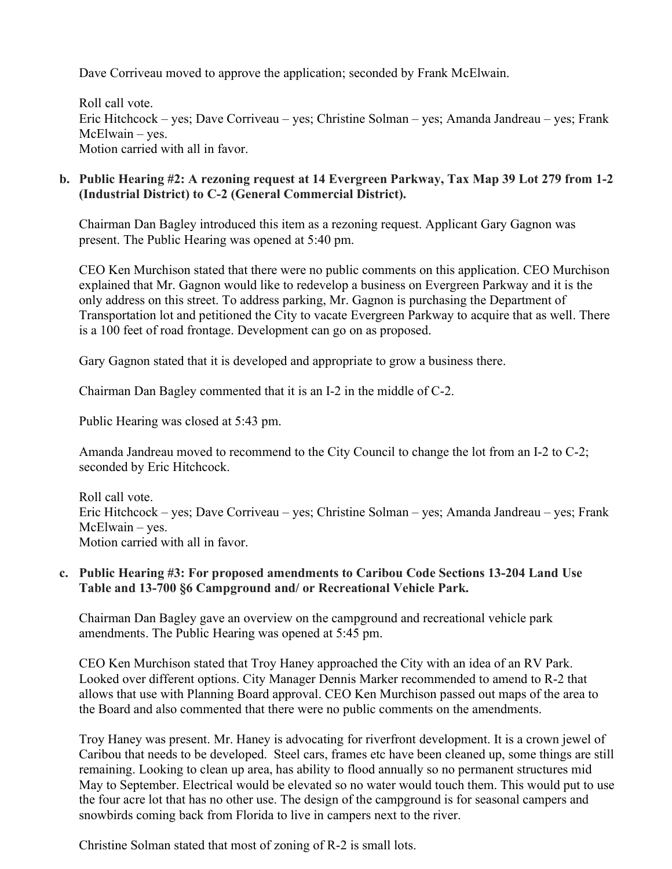Dave Corriveau moved to approve the application; seconded by Frank McElwain.

Roll call vote. Eric Hitchcock – yes; Dave Corriveau – yes; Christine Solman – yes; Amanda Jandreau – yes; Frank McElwain – yes. Motion carried with all in favor.

#### b. Public Hearing #2: A rezoning request at 14 Evergreen Parkway, Tax Map 39 Lot 279 from 1-2 (Industrial District) to C-2 (General Commercial District).

Chairman Dan Bagley introduced this item as a rezoning request. Applicant Gary Gagnon was present. The Public Hearing was opened at 5:40 pm.

CEO Ken Murchison stated that there were no public comments on this application. CEO Murchison explained that Mr. Gagnon would like to redevelop a business on Evergreen Parkway and it is the only address on this street. To address parking, Mr. Gagnon is purchasing the Department of Transportation lot and petitioned the City to vacate Evergreen Parkway to acquire that as well. There is a 100 feet of road frontage. Development can go on as proposed.

Gary Gagnon stated that it is developed and appropriate to grow a business there.

Chairman Dan Bagley commented that it is an I-2 in the middle of C-2.

Public Hearing was closed at 5:43 pm.

Amanda Jandreau moved to recommend to the City Council to change the lot from an I-2 to C-2; seconded by Eric Hitchcock.

Roll call vote. Eric Hitchcock – yes; Dave Corriveau – yes; Christine Solman – yes; Amanda Jandreau – yes; Frank McElwain – yes. Motion carried with all in favor.

## c. Public Hearing #3: For proposed amendments to Caribou Code Sections 13-204 Land Use Table and 13-700 §6 Campground and/ or Recreational Vehicle Park.

Chairman Dan Bagley gave an overview on the campground and recreational vehicle park amendments. The Public Hearing was opened at 5:45 pm.

CEO Ken Murchison stated that Troy Haney approached the City with an idea of an RV Park. Looked over different options. City Manager Dennis Marker recommended to amend to R-2 that allows that use with Planning Board approval. CEO Ken Murchison passed out maps of the area to the Board and also commented that there were no public comments on the amendments.

Troy Haney was present. Mr. Haney is advocating for riverfront development. It is a crown jewel of Caribou that needs to be developed. Steel cars, frames etc have been cleaned up, some things are still remaining. Looking to clean up area, has ability to flood annually so no permanent structures mid May to September. Electrical would be elevated so no water would touch them. This would put to use the four acre lot that has no other use. The design of the campground is for seasonal campers and snowbirds coming back from Florida to live in campers next to the river.

Christine Solman stated that most of zoning of R-2 is small lots.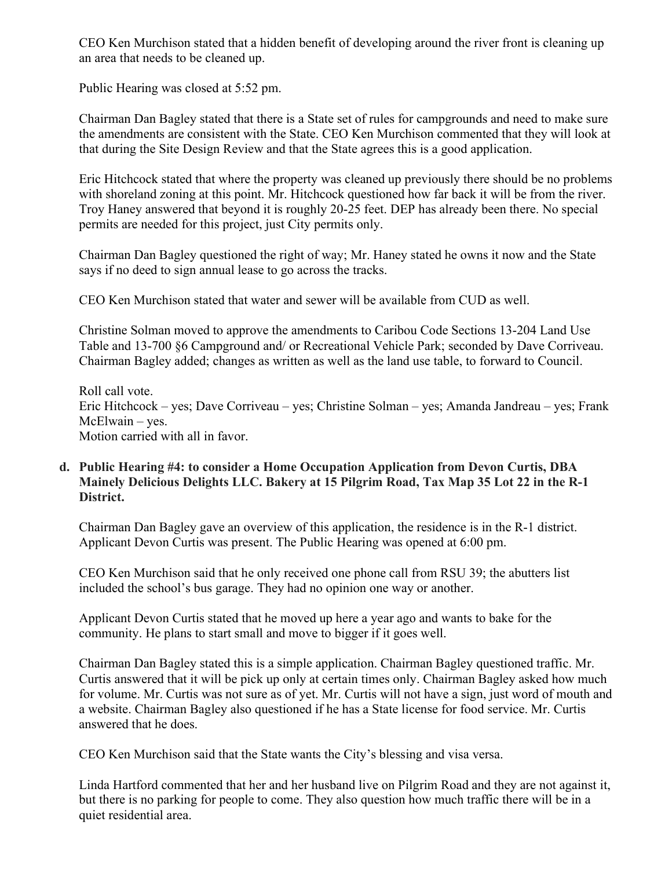CEO Ken Murchison stated that a hidden benefit of developing around the river front is cleaning up an area that needs to be cleaned up.

Public Hearing was closed at 5:52 pm.

Chairman Dan Bagley stated that there is a State set of rules for campgrounds and need to make sure the amendments are consistent with the State. CEO Ken Murchison commented that they will look at that during the Site Design Review and that the State agrees this is a good application.

Eric Hitchcock stated that where the property was cleaned up previously there should be no problems with shoreland zoning at this point. Mr. Hitchcock questioned how far back it will be from the river. Troy Haney answered that beyond it is roughly 20-25 feet. DEP has already been there. No special permits are needed for this project, just City permits only.

Chairman Dan Bagley questioned the right of way; Mr. Haney stated he owns it now and the State says if no deed to sign annual lease to go across the tracks.

CEO Ken Murchison stated that water and sewer will be available from CUD as well.

Christine Solman moved to approve the amendments to Caribou Code Sections 13-204 Land Use Table and 13-700 §6 Campground and/ or Recreational Vehicle Park; seconded by Dave Corriveau. Chairman Bagley added; changes as written as well as the land use table, to forward to Council.

Roll call vote. Eric Hitchcock – yes; Dave Corriveau – yes; Christine Solman – yes; Amanda Jandreau – yes; Frank McElwain – yes. Motion carried with all in favor.

## d. Public Hearing #4: to consider a Home Occupation Application from Devon Curtis, DBA Mainely Delicious Delights LLC. Bakery at 15 Pilgrim Road, Tax Map 35 Lot 22 in the R-1 District.

Chairman Dan Bagley gave an overview of this application, the residence is in the R-1 district. Applicant Devon Curtis was present. The Public Hearing was opened at 6:00 pm.

CEO Ken Murchison said that he only received one phone call from RSU 39; the abutters list included the school's bus garage. They had no opinion one way or another.

Applicant Devon Curtis stated that he moved up here a year ago and wants to bake for the community. He plans to start small and move to bigger if it goes well.

Chairman Dan Bagley stated this is a simple application. Chairman Bagley questioned traffic. Mr. Curtis answered that it will be pick up only at certain times only. Chairman Bagley asked how much for volume. Mr. Curtis was not sure as of yet. Mr. Curtis will not have a sign, just word of mouth and a website. Chairman Bagley also questioned if he has a State license for food service. Mr. Curtis answered that he does.

CEO Ken Murchison said that the State wants the City's blessing and visa versa.

Linda Hartford commented that her and her husband live on Pilgrim Road and they are not against it, but there is no parking for people to come. They also question how much traffic there will be in a quiet residential area.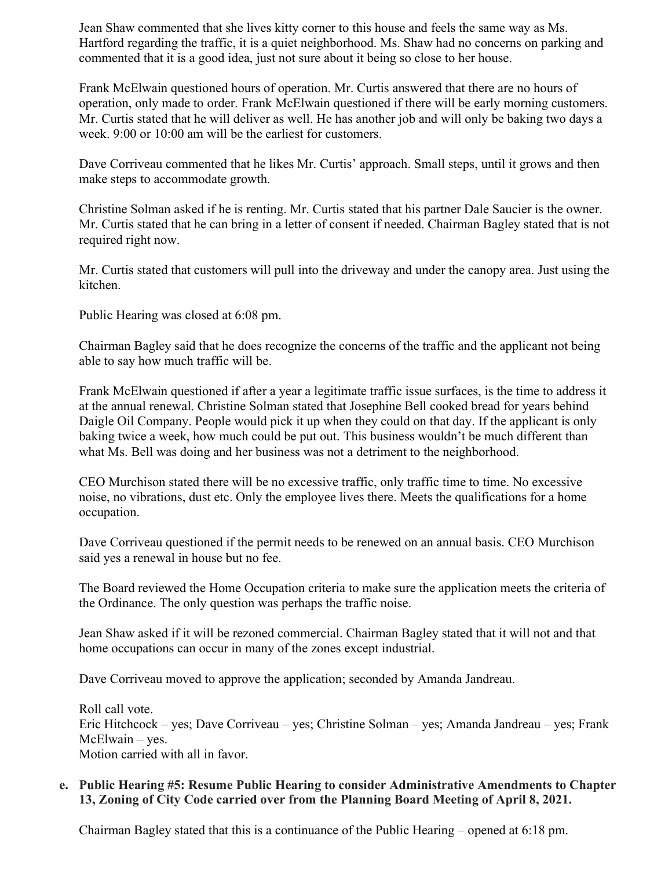Jean Shaw commented that she lives kitty corner to this house and feels the same way as Ms. Hartford regarding the traffic, it is a quiet neighborhood. Ms. Shaw had no concerns on parking and commented that it is a good idea, just not sure about it being so close to her house.

Frank McElwain questioned hours of operation. Mr. Curtis answered that there are no hours of operation, only made to order. Frank McElwain questioned if there will be early morning customers. Mr. Curtis stated that he will deliver as well. He has another job and will only be baking two days a week. 9:00 or 10:00 am will be the earliest for customers.

Dave Corriveau commented that he likes Mr. Curtis' approach. Small steps, until it grows and then make steps to accommodate growth.

Christine Solman asked if he is renting. Mr. Curtis stated that his partner Dale Saucier is the owner. Mr. Curtis stated that he can bring in a letter of consent if needed. Chairman Bagley stated that is not required right now.

Mr. Curtis stated that customers will pull into the driveway and under the canopy area. Just using the kitchen.

Public Hearing was closed at 6:08 pm.

Chairman Bagley said that he does recognize the concerns of the traffic and the applicant not being able to say how much traffic will be.

Frank McElwain questioned if after a year a legitimate traffic issue surfaces, is the time to address it at the annual renewal. Christine Solman stated that Josephine Bell cooked bread for years behind Daigle Oil Company. People would pick it up when they could on that day. If the applicant is only baking twice a week, how much could be put out. This business wouldn't be much different than what Ms. Bell was doing and her business was not a detriment to the neighborhood.

CEO Murchison stated there will be no excessive traffic, only traffic time to time. No excessive noise, no vibrations, dust etc. Only the employee lives there. Meets the qualifications for a home occupation.

Dave Corriveau questioned if the permit needs to be renewed on an annual basis. CEO Murchison said yes a renewal in house but no fee.

The Board reviewed the Home Occupation criteria to make sure the application meets the criteria of the Ordinance. The only question was perhaps the traffic noise.

Jean Shaw asked if it will be rezoned commercial. Chairman Bagley stated that it will not and that home occupations can occur in many of the zones except industrial.

Dave Corriveau moved to approve the application; seconded by Amanda Jandreau.

Roll call vote. Eric Hitchcock – yes; Dave Corriveau – yes; Christine Solman – yes; Amanda Jandreau – yes; Frank McElwain – yes. Motion carried with all in favor.

## e. Public Hearing #5: Resume Public Hearing to consider Administrative Amendments to Chapter 13, Zoning of City Code carried over from the Planning Board Meeting of April 8, 2021.

Chairman Bagley stated that this is a continuance of the Public Hearing – opened at 6:18 pm.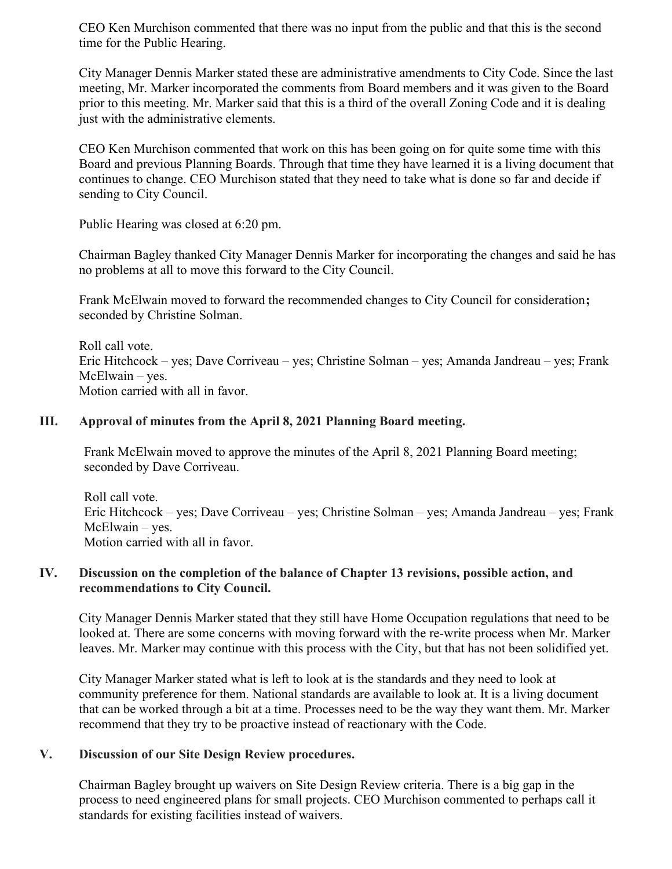CEO Ken Murchison commented that there was no input from the public and that this is the second time for the Public Hearing.

City Manager Dennis Marker stated these are administrative amendments to City Code. Since the last meeting, Mr. Marker incorporated the comments from Board members and it was given to the Board prior to this meeting. Mr. Marker said that this is a third of the overall Zoning Code and it is dealing just with the administrative elements.

CEO Ken Murchison commented that work on this has been going on for quite some time with this Board and previous Planning Boards. Through that time they have learned it is a living document that continues to change. CEO Murchison stated that they need to take what is done so far and decide if sending to City Council.

Public Hearing was closed at 6:20 pm.

Chairman Bagley thanked City Manager Dennis Marker for incorporating the changes and said he has no problems at all to move this forward to the City Council.

Frank McElwain moved to forward the recommended changes to City Council for consideration; seconded by Christine Solman.

Roll call vote. Eric Hitchcock – yes; Dave Corriveau – yes; Christine Solman – yes; Amanda Jandreau – yes; Frank McElwain – yes. Motion carried with all in favor.

#### III. Approval of minutes from the April 8, 2021 Planning Board meeting.

Frank McElwain moved to approve the minutes of the April 8, 2021 Planning Board meeting; seconded by Dave Corriveau.

Roll call vote. Eric Hitchcock – yes; Dave Corriveau – yes; Christine Solman – yes; Amanda Jandreau – yes; Frank McElwain – yes. Motion carried with all in favor.

## IV. Discussion on the completion of the balance of Chapter 13 revisions, possible action, and recommendations to City Council.

City Manager Dennis Marker stated that they still have Home Occupation regulations that need to be looked at. There are some concerns with moving forward with the re-write process when Mr. Marker leaves. Mr. Marker may continue with this process with the City, but that has not been solidified yet.

City Manager Marker stated what is left to look at is the standards and they need to look at community preference for them. National standards are available to look at. It is a living document that can be worked through a bit at a time. Processes need to be the way they want them. Mr. Marker recommend that they try to be proactive instead of reactionary with the Code.

## V. Discussion of our Site Design Review procedures.

Chairman Bagley brought up waivers on Site Design Review criteria. There is a big gap in the process to need engineered plans for small projects. CEO Murchison commented to perhaps call it standards for existing facilities instead of waivers.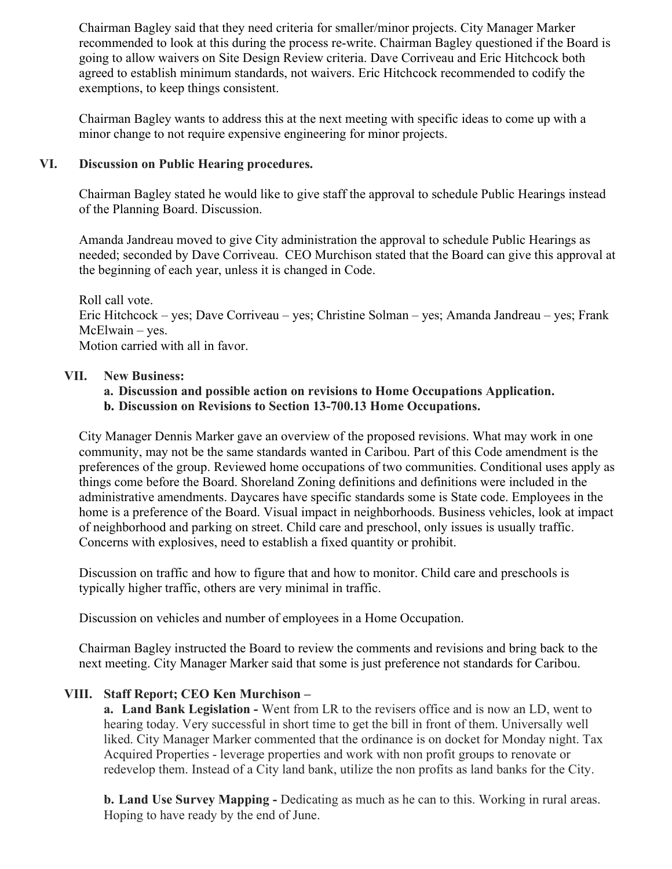Chairman Bagley said that they need criteria for smaller/minor projects. City Manager Marker recommended to look at this during the process re-write. Chairman Bagley questioned if the Board is going to allow waivers on Site Design Review criteria. Dave Corriveau and Eric Hitchcock both agreed to establish minimum standards, not waivers. Eric Hitchcock recommended to codify the exemptions, to keep things consistent.

Chairman Bagley wants to address this at the next meeting with specific ideas to come up with a minor change to not require expensive engineering for minor projects.

## VI. Discussion on Public Hearing procedures.

Chairman Bagley stated he would like to give staff the approval to schedule Public Hearings instead of the Planning Board. Discussion.

Amanda Jandreau moved to give City administration the approval to schedule Public Hearings as needed; seconded by Dave Corriveau. CEO Murchison stated that the Board can give this approval at the beginning of each year, unless it is changed in Code.

Roll call vote. Eric Hitchcock – yes; Dave Corriveau – yes; Christine Solman – yes; Amanda Jandreau – yes; Frank McElwain – yes. Motion carried with all in favor.

#### VII. New Business:

#### a. Discussion and possible action on revisions to Home Occupations Application. b. Discussion on Revisions to Section 13-700.13 Home Occupations.

City Manager Dennis Marker gave an overview of the proposed revisions. What may work in one community, may not be the same standards wanted in Caribou. Part of this Code amendment is the preferences of the group. Reviewed home occupations of two communities. Conditional uses apply as things come before the Board. Shoreland Zoning definitions and definitions were included in the administrative amendments. Daycares have specific standards some is State code. Employees in the home is a preference of the Board. Visual impact in neighborhoods. Business vehicles, look at impact of neighborhood and parking on street. Child care and preschool, only issues is usually traffic. Concerns with explosives, need to establish a fixed quantity or prohibit.

Discussion on traffic and how to figure that and how to monitor. Child care and preschools is typically higher traffic, others are very minimal in traffic.

Discussion on vehicles and number of employees in a Home Occupation.

Chairman Bagley instructed the Board to review the comments and revisions and bring back to the next meeting. City Manager Marker said that some is just preference not standards for Caribou.

## VIII. Staff Report; CEO Ken Murchison –

a. Land Bank Legislation - Went from LR to the revisers office and is now an LD, went to hearing today. Very successful in short time to get the bill in front of them. Universally well liked. City Manager Marker commented that the ordinance is on docket for Monday night. Tax Acquired Properties - leverage properties and work with non profit groups to renovate or redevelop them. Instead of a City land bank, utilize the non profits as land banks for the City.

b. Land Use Survey Mapping - Dedicating as much as he can to this. Working in rural areas. Hoping to have ready by the end of June.